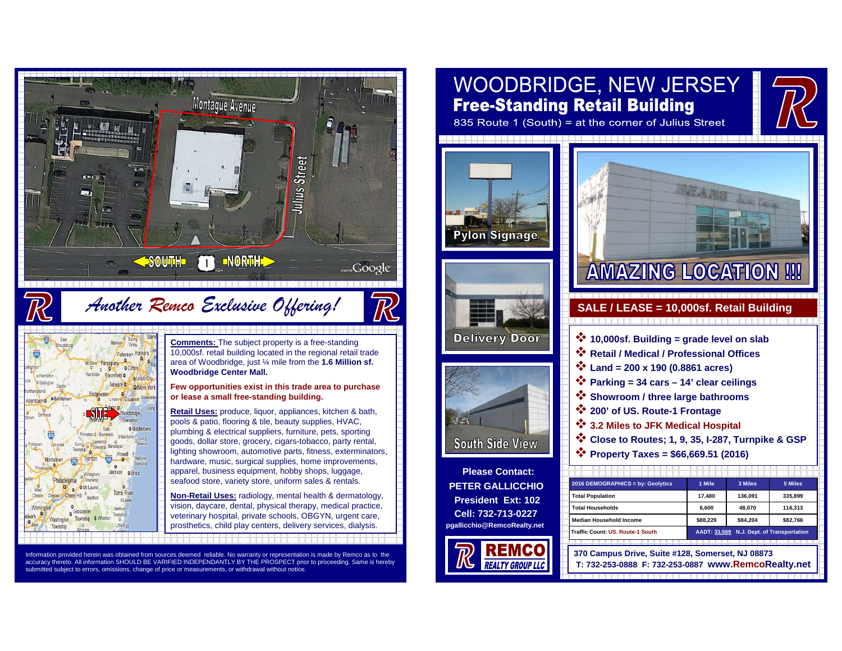

### Information provided herein was obtained from sources deemed reliable. No warranty or representation is made by Remco as to the accuracy thereto. All information SHOULD BE VARIFIED INDEPENDANTLY BY THE PROSPECT prior to proceeding. Same is hereby submitted subject to errors, omissions, change of price or measurements, or withdrawal without notice.

# **WOODBRIDGE, NEW JERSEY Free-Standing Retail Building**

835 Route 1 (South) = at the corner of Julius Street







**Please Contact: PETER GALLICCHIOPresident Ext: 102Cell: 732-713-0227pgallicchio@RemcoRealty.net**





- **10,000sf. Building = grade level on slab**
- **Retail / Medical / Professional Offices**
- **Land = 200 x 190 (0.8861 acres)**
- **Parking = 34 cars 14' clear ceilings**
- **Showroom / three large bathrooms**
- **200' of US. Route-1 Frontage**
- **3.2 Miles to JFK Medical Hospital**
- **Close to Routes; 1, 9, 35, I-287, Turnpike & GSP**
- **Property Taxes = \$66,669.51 (2016)**

| 2016 DEMOGRAPHICS = by: Geolytics | 1 Mile                                    | 3 Miles  | 5 Miles  |
|-----------------------------------|-------------------------------------------|----------|----------|
| <b>Total Population</b>           | 17.480                                    | 136.091  | 335.899  |
| <b>Total Households</b>           | 6.600                                     | 48.070   | 116.313  |
| <b>Median Household Income</b>    | \$88.229                                  | \$84.204 | \$82.766 |
| Traffic Count: US. Route-1 South  | AADT: 33,569 N.J. Dept. of Transportation |          |          |

**370 Campus Drive, Suite #128, Somerset, NJ 08873 T: 732-253-0888 F: 732-253-0887 www.RemcoRealty.net**